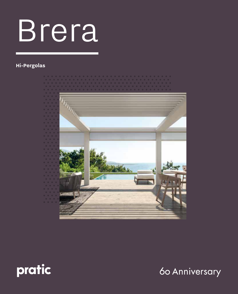# Brera

#### **Hi-Pergolas**





60 Anniversary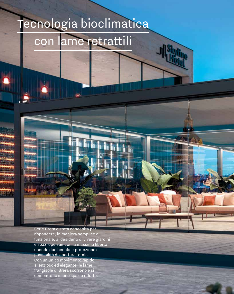### Tecnologia bioclimatica

### con lame retrattili

ի հղիլ<sub>ակը</sub>

Serie Brera è stata concepita per rispondere, in maniera semplice e funzionale, al desiderio di vivere giardini e spazi open air con la massima libertà, unendo due benefici: protezione e possibilità di apertura totale. Con un unico movimento rapido,

silenzioso ed elegante, le lame frangisole di Brera scorrono e si compattano in uno spazio ridotto.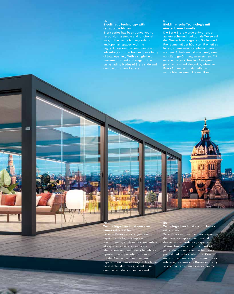#### **EN Bioclimatic technology with retractable blades**

Brera series has been conceived to respond, in a simple and functional way, to the desire to live gardens and open air spaces with the highest freedom, by combining two advantages: protection and possibility of total opening. With a single fast movement, silent and elegant, the sun-shading blades of Brera slide and

#### **DE Bioklimatische Technologie mit einstellbaren Lamellen**

Die Serie Brera wurde entworfen, um auf einfache und funktionale Weise auf den Wunsch zu reagieren, Gärten und Freiräume mit der höchsten Freiheit zu leben, indem zwei Vorteile kombiniert werden: Schutz und Möglichkeit, eine vollständige Öffnung zu erreichen. Mit einer einzigen schnellen Bewegung, geräuschlos und elegant, gleiten die Brera Sonnenschutzlamellen und verdichten in einem kleinen Raum.

**Technologie bioclimatique avec lames rétractables** La série Brera a été conçue pour répondre, de façon simple et fonctionnelle, au désir de vivre jardins et espaces extérieurs en totale liberté, en combinant deux bénéfices : protection et possibilité d'ouverture totale. Avec un seul mouvement rapide, silencieux et élégant, les lames brise-soleil de Brera glissent et se compactent dans un espace réduit.

**FR**

声

**ES Tecnología bioclimática con lamas retractiles**

Serie Brera se concibió para responder, de manera simple y funcional, al deseo de vivir jardines y espacios al aire libre con la máxima libertad, juntando dos ventajas: protección y posibilidad de total abertura. Con un único movimiento rápido, silencioso y refinado, las lamas de Brera deslizan y se compactan en un espacio mínimo.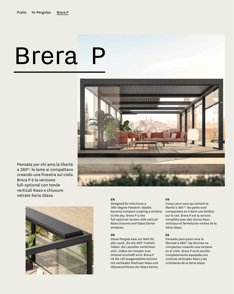# Brera P Brera P



Pensata per chi ama la libertà a 360°: le lame si compattano creando una finestra sul cielo. Brera P è la versione **la versione** full-optional con tende verticali Raso e chiusure vetrate Serie Glass.



#### **EN EN**

Designed for who loves a Designed for who loves a 360-degree freedom: blades 360-degree freedom: blades become compact creating a window become compact creating a window to the sky. Brera P is the  $\hspace{0.1mm}$ full-optional version with vertical full-optional version with vertical Raso closures and Slide Glass Raso closures and Glass Series  $w$ indows. $w = \frac{1}{2} \int_0^1 \frac{1}{2} \, dx$ 

#### **DE DE**

Diese Pergola kam zur Welt für alle Leute, die die 360° Freiheit lieben: die Lamellen verdichten sich, indem ein Fenster zum Himmel erschafft wird. Brera P ist die voll ausgestattete Version ist die voll ausgestattete Version mit vertikalen Markisen Raso und mit vertikalen Markisen Raso und Glasverschlüsse der Glass Series.

#### **FR FR**

Conçu pour ceux qui aiment la Conçu pour ceux qui aiment la liberté à 360 °: les pales sont liberté à 360 °: les pales sont compactées en créant une fenêtre compactées en créant une fenêtre sur le ciel. Brera P est la version complète avec des stores Raso verticaux et fermetures vitrées de la Série Glass. In verre Slide Glass.

#### **ES ES**

Pensada para quien ama la Pensada para quien ama la libertad a 360º: las láminas se libertad a 360º: las láminas se compactan creando una ventana compactan creando una ventana en el cielo. Brera P es la versión completamente equipada con con cortinas verticales Raso y cortinas verticales Raso y las cristaleras de la Serie Glass.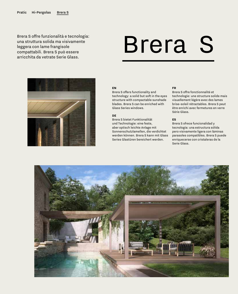Brera S offre funzionalità e tecnologia: una struttura solida ma visivamente leggera con lame frangisole compattabili. Brera S può essere arricchita da vetrate Serie Glass.

## Brera S



#### **EN**

Brera S offers functionality and technology: a solid but soft in the eyes structure with compactable sunshade blades. Brera S can be enriched with Glass Series windows.

#### **DE**

Brera S bietet Funktionalität und Technologie: eine feste, aber optisch leichte Anlage mit Sonnenschutzlamellen, die verdichtet werden können. Brera S kann mit Glass Series Glastüren bereichert werden.

#### **FR**

Brera S offre fonctionnalité et technologie: une structure solide mais visuellement légère avec des lames brise-soleil rétractables. Brera S peut être enrichi avec fermetures en verre Série Glass.

#### **ES**

Brera S ofrece funcionalidad y tecnología: una estructura sólida pero visivamente ligera con láminas parasoles compatibles. Brera S puede enriquecerse con cristaleras de la Serie Glass.

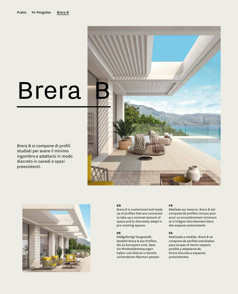## Brera

Brera B si compone di profili studiati per avere il minimo ingombro e adattarsi in modo discreto in cavedi e spazi preesistenti.





#### **EN**

Brera B is customized and made up of profiles that are conceived to take up a minimal amount of space and to discreetly adapt in pre-existing spaces.

#### **DE**

Maßgefertigt hergestellt, besteht Brera B aus Profilen, die so konzipiert sind, dass sie Mindestabmessungen haben und diskret in bereits vorhandenen Räumen passen.

#### **FR**

Réalisée sur mesure, Brera B est composé de profilés conçus pour avoir un encombrement minimum et s'intégrer discrètement dans des espaces préexistants.

#### **ES**

Realizada a medida, Brera B se compone de perfiles estudiados para ocupar el menor espacio posible y adaptarse de forma discreta a espacios preexistentes.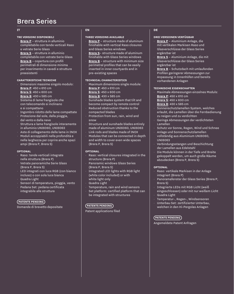#### **IT**

#### **TRE VERSIONI DISPONIBILI**

- **Brera P** struttura in alluminio completabile con tende verticali Raso e vetrate Serie Glass
- **Brera S** struttura in alluminio completabile con vetrate Serie Glass
- · **Brera B** copertura con profili perimetrali di dimensione minima per inserimento in cavedi e strutture preesistenti

#### **CARATTERISTICHE TECNICHE**

- · Dimensioni massime singolo modulo: **Brera P**: 450 x 610 cm **Brera S**: 450 x 600 cm **Brera B**: 430 x 585 cm
- Sistema di lame frangisole che con telecomando si inclinano e si compattano
- · Ingombro ridotto delle lame compattate
- · Protezione dal sole, dalla pioggia, dal vento e dalla neve
- · Struttura e lame frangisole interamente in alluminio UNI6060, UNI6063
- Aste di collegamento delle lame in INOX
- · Moduli accoppiabili nella profondità e nella larghezza per coprire anche spazi ampi (Brera P, Brera S)

#### **OPTIONAL**

- Raso: tende verticali integrate nella struttura (Brera P)
- · Vetrate panoramiche Serie Glass (Brera P, Brera S)
- LED integrati con luce RGB (con bianco incluso) o con sola luce bianca
- · Quadra Light
- · Sensori di temperatura, pioggia, vento
- Pedana Set: pedana certificata integrabile alle strutture

#### **PATENTS PENDING**

Domande di brevetto depositate

#### **EN**

#### **THREE VERSIONS AVAILABLE**

- **Brera P** structure made of aluminum finishable with vertical Raso closures and Glass Series windows
- **Brera S** structure made of aluminum finishable with Glass Series windows
- **Brera B** structure with minimum size perimetral profiles that can be easily inserted in inner courtyards and in pre-existing spaces

#### **TECHNICAL CHARACTERISTICS**

- · Maximum dimensions single module: **Brera P**: 450 x 610 cm **Brera S**: 450 x 600 cm **Brera B**: 430 x 585 cm
- · Sunshade blades system that tilt and become compact by remote control
- Reduced obstruction thanks to the compacted blades
- Protection from sun, rain, wind and snow
- Structure and sunshade blades entirely made of aluminum UNI6060, UNI6063
- Link rods and blades made of INOX
- · Modules that can be connected in depth and width to cover even wide spaces (Brera P, Brera S)

#### **OPTIONAL**

- Raso: vertical closures integrated in the structure (Brera P)
- Panoramic windows Glass Series (Brera P, Brera S)
- Integrated LED lights with RGB light (white color included) or with white light only
- **Quadra Light**
- Temperature, rain and wind sensors
- Set platform: certified platform that can be integrated with structures

#### **PATENTS PENDING**

Patent applications filed

#### **DE**

#### **DREI VERSIONEN VERFÜGBAR**

- · **Brera P** Aluminium Anlage, die mit vertikalen Markisen Raso und Glasverschlüsse der Glass Series ergänzbar ist
- · **Brera S** Aluminium Anlage, die mit Glasverschlüsse der Glass Series ergänzbar ist
- · **Brera B** Schutzdach mit umlaufenden Profilen geringerer Abmessungen zur Anpassung in Innenhöfen und bereits vorhandenen Anlagen

#### **TECHNISCHE EIGENSCHAFTEN**

- · Maximale Abmessungen einzelnes Moduls: **Brera P**: 450 x 610 cm **Brera S**: 450 x 600 cm **Brera B**: 430 x 585 cm
- · Sonnenschutzlamellen System, welches erlaubt, die Lamellen über die Fernbedienung zu neigen und zu verdichten
- · Geringe Abmessungen der verdichteten Lamellen
- Schutz vor Sonne, Regen, Wind und Schnee
- · Anlage und Sonnenschutzlamellen vollständig aus Aluminium UNI6060, UNI6063
- · Verbindungsstangen und Beschichtung der Lamellen aus Edelstahl
- · Die Module können in der Tiefe und Breite gekoppelt werden, um auch große Räume abzudecken (Brera P, Brera S)

#### **OPTIONAL**

- · Raso: vertikale Markisen in der Anlage integriert (Brera P)
- · Panoramafenster der Glass Series (Brera P, Brera S)
- · Integrierte LEDs mit RGB Licht (weiß eingeschlossen) oder mit nur weißem Licht
- · Quadra Light
- Temperatur-, Regen-, Windsensoren
- · Unterbau Set: zertifizierter Unterbau, welchen in den Hi-Pergolas Anlagen

#### **PATENTS PENDING**

Angemeldete Patent Anfragen